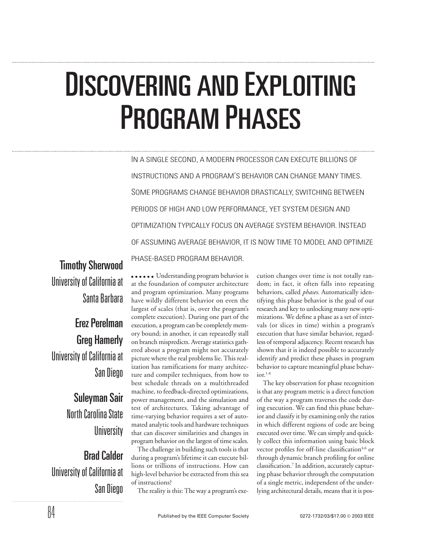# DISCOVERING AND EXPLOITING PROGRAM PHASES

IN A SINGLE SECOND, A MODERN PROCESSOR CAN EXECUTE BILLIONS OF INSTRUCTIONS AND A PROGRAM'S BEHAVIOR CAN CHANGE MANY TIMES. SOME PROGRAMS CHANGE BEHAVIOR DRASTICALLY, SWITCHING BETWEEN PERIODS OF HIGH AND LOW PERFORMANCE, YET SYSTEM DESIGN AND OPTIMIZATION TYPICALLY FOCUS ON AVERAGE SYSTEM BEHAVIOR. INSTEAD OF ASSUMING AVERAGE BEHAVIOR, IT IS NOW TIME TO MODEL AND OPTIMIZE PHASE-BASED PROGRAM BEHAVIOR.

Timothy Sherwood University of California at Santa Barbara

Erez Perelman Greg Hamerly University of California at San Diego

> Suleyman Sair North Carolina State **University**

Brad Calder University of California at San Diego

Understanding program behavior is at the foundation of computer architecture and program optimization. Many programs have wildly different behavior on even the largest of scales (that is, over the program's complete execution). During one part of the execution, a program can be completely memory bound; in another, it can repeatedly stall on branch mispredicts. Average statistics gathered about a program might not accurately picture where the real problems lie. This realization has ramifications for many architecture and compiler techniques, from how to best schedule threads on a multithreaded machine, to feedback-directed optimizations, power management, and the simulation and test of architectures. Taking advantage of time-varying behavior requires a set of automated analytic tools and hardware techniques that can discover similarities and changes in program behavior on the largest of time scales.

The challenge in building such tools is that during a program's lifetime it can execute billions or trillions of instructions. How can high-level behavior be extracted from this sea of instructions?

The reality is this: The way a program's exe-

cution changes over time is not totally random; in fact, it often falls into repeating behaviors, called *phases*. Automatically identifying this phase behavior is the goal of our research and key to unlocking many new optimizations. We define a phase as a set of intervals (or slices in time) within a program's execution that have similar behavior, regardless of temporal adjacency. Recent research has shown that it is indeed possible to accurately identify and predict these phases in program behavior to capture meaningful phase behav- $\arctan 1-8$ 

The key observation for phase recognition is that any program metric is a direct function of the way a program traverses the code during execution. We can find this phase behavior and classify it by examining only the ratios in which different regions of code are being executed over time. We can simply and quickly collect this information using basic block vector profiles for off-line classification<sup>4,6</sup> or through dynamic branch profiling for online classification.7 In addition, accurately capturing phase behavior through the computation of a single metric, independent of the underlying architectural details, means that it is pos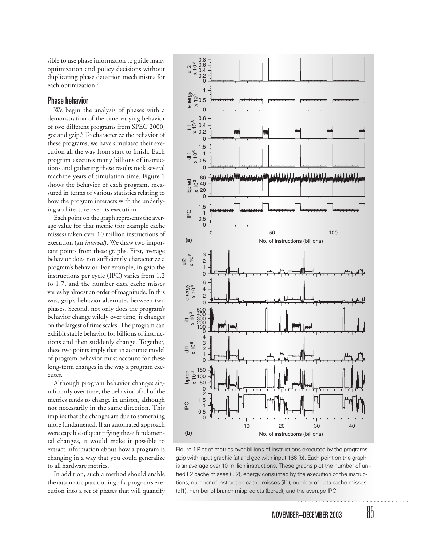sible to use phase information to guide many optimization and policy decisions without duplicating phase detection mechanisms for each optimization.<sup>7</sup>

## Phase behavior

We begin the analysis of phases with a demonstration of the time-varying behavior of two different programs from SPEC 2000, gcc and gzip.9 To characterize the behavior of these programs, we have simulated their execution all the way from start to finish. Each program executes many billions of instructions and gathering these results took several machine-years of simulation time. Figure 1 shows the behavior of each program, measured in terms of various statistics relating to how the program interacts with the underlying architecture over its execution.

Each point on the graph represents the average value for that metric (for example cache misses) taken over 10 million instructions of execution (an *interval*). We draw two important points from these graphs. First, average behavior does not sufficiently characterize a program's behavior. For example, in gzip the instructions per cycle (IPC) varies from 1.2 to 1.7, and the number data cache misses varies by almost an order of magnitude. In this way, gzip's behavior alternates between two phases. Second, not only does the program's behavior change wildly over time, it changes on the largest of time scales. The program can exhibit stable behavior for billions of instructions and then suddenly change. Together, these two points imply that an accurate model of program behavior must account for these long-term changes in the way a program executes.

Although program behavior changes significantly over time, the behavior of all of the metrics tends to change in unison, although not necessarily in the same direction. This implies that the changes are due to something more fundamental. If an automated approach were capable of quantifying these fundamental changes, it would make it possible to extract information about how a program is changing in a way that you could generalize to all hardware metrics.

In addition, such a method should enable the automatic partitioning of a program's execution into a set of phases that will quantify



Figure 1.Plot of metrics over billions of instructions executed by the programs gzip with input graphic (a) and gcc with input 166 (b). Each point on the graph is an average over 10 million instructions. These graphs plot the number of unified L2 cache misses (ul2), energy consumed by the execution of the instructions, number of instruction cache misses (il1), number of data cache misses (dl1), number of branch mispredicts (bpred), and the average IPC.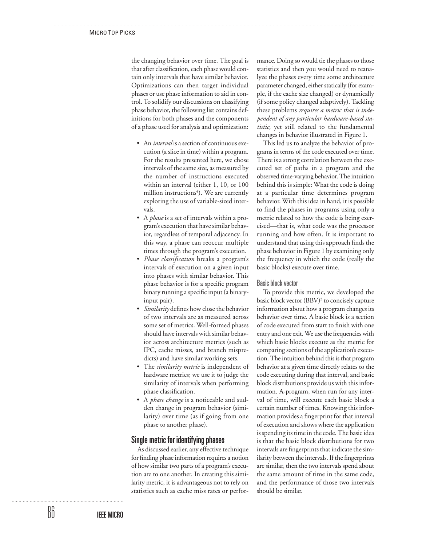the changing behavior over time. The goal is that after classification, each phase would contain only intervals that have similar behavior. Optimizations can then target individual phases or use phase information to aid in control. To solidify our discussions on classifying phase behavior, the following list contains definitions for both phases and the components of a phase used for analysis and optimization:

- An *interval* is a section of continuous execution (a slice in time) within a program. For the results presented here, we chose intervals of the same size, as measured by the number of instructions executed within an interval (either 1, 10, or 100 million instructions<sup>4</sup>). We are currently exploring the use of variable-sized intervals.
- A *phase* is a set of intervals within a program's execution that have similar behavior, regardless of temporal adjacency. In this way, a phase can reoccur multiple times through the program's execution.
- *Phase classification* breaks a program's intervals of execution on a given input into phases with similar behavior. This phase behavior is for a specific program binary running a specific input (a binaryinput pair).
- *Similarity* defines how close the behavior of two intervals are as measured across some set of metrics. Well-formed phases should have intervals with similar behavior across architecture metrics (such as IPC, cache misses, and branch mispredicts) and have similar working sets.
- The *similarity metric* is independent of hardware metrics; we use it to judge the similarity of intervals when performing phase classification.
- A *phase change* is a noticeable and sudden change in program behavior (similarity) over time (as if going from one phase to another phase).

# Single metric for identifying phases

As discussed earlier, any effective technique for finding phase information requires a notion of how similar two parts of a program's execution are to one another. In creating this similarity metric, it is advantageous not to rely on statistics such as cache miss rates or perfor-

mance. Doing so would tie the phases to those statistics and then you would need to reanalyze the phases every time some architecture parameter changed, either statically (for example, if the cache size changed) or dynamically (if some policy changed adaptively). Tackling these problems *requires a metric that is independent of any particular hardware-based statistic,* yet still related to the fundamental changes in behavior illustrated in Figure 1.

This led us to analyze the behavior of programs in terms of the code executed over time. There is a strong correlation between the executed set of paths in a program and the observed time-varying behavior. The intuition behind this is simple: What the code is doing at a particular time determines program behavior. With this idea in hand, it is possible to find the phases in programs using only a metric related to how the code is being exercised—that is, what code was the processor running and how often. It is important to understand that using this approach finds the phase behavior in Figure 1 by examining only the frequency in which the code (really the basic blocks) execute over time.

#### Basic block vector

To provide this metric, we developed the basic block vector (BBV)<sup>5</sup> to concisely capture information about how a program changes its behavior over time. A basic block is a section of code executed from start to finish with one entry and one exit. We use the frequencies with which basic blocks execute as the metric for comparing sections of the application's execution. The intuition behind this is that program behavior at a given time directly relates to the code executing during that interval, and basic block distributions provide us with this information. A-program, when run for any interval of time, will execute each basic block a certain number of times. Knowing this information provides a fingerprint for that interval of execution and shows where the application is spending its time in the code. The basic idea is that the basic block distributions for two intervals are fingerprints that indicate the similarity between the intervals. If the fingerprints are similar, then the two intervals spend about the same amount of time in the same code, and the performance of those two intervals should be similar.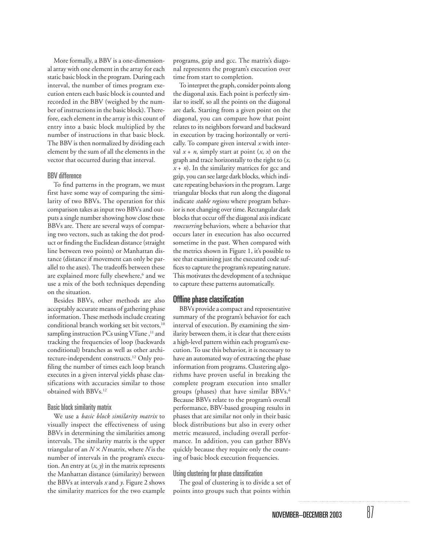More formally, a BBV is a one-dimensional array with one element in the array for each static basic block in the program. During each interval, the number of times program execution enters each basic block is counted and recorded in the BBV (weighed by the number of instructions in the basic block). Therefore, each element in the array is this count of entry into a basic block multiplied by the number of instructions in that basic block. The BBV is then normalized by dividing each element by the sum of all the elements in the vector that occurred during that interval.

#### BBV difference

To find patterns in the program, we must first have some way of comparing the similarity of two BBVs. The operation for this comparison takes as input two BBVs and outputs a single number showing how close these BBVs are. There are several ways of comparing two vectors, such as taking the dot product or finding the Euclidean distance (straight line between two points) or Manhattan distance (distance if movement can only be parallel to the axes). The tradeoffs between these are explained more fully elsewhere,<sup>6</sup> and we use a mix of the both techniques depending on the situation.

Besides BBVs, other methods are also acceptably accurate means of gathering phase information. These methods include creating conditional branch working set bit vectors,<sup>10</sup> sampling instruction PCs using VTune,<sup>11</sup> and tracking the frequencies of loop (backwards conditional) branches as well as other architecture-independent constructs.12 Only profiling the number of times each loop branch executes in a given interval yields phase classifications with accuracies similar to those obtained with BBVs.12

#### Basic block similarity matrix

We use a *basic block similarity matrix* to visually inspect the effectiveness of using BBVs in determining the similarities among intervals. The similarity matrix is the upper triangular of an *N* × *N* matrix, where *N* is the number of intervals in the program's execution. An entry at  $(x, y)$  in the matrix represents the Manhattan distance (similarity) between the BBVs at intervals *x* and *y*. Figure 2 shows the similarity matrices for the two example programs, gzip and gcc. The matrix's diagonal represents the program's execution over time from start to completion.

To interpret the graph, consider points along the diagonal axis. Each point is perfectly similar to itself, so all the points on the diagonal are dark. Starting from a given point on the diagonal, you can compare how that point relates to its neighbors forward and backward in execution by tracing horizontally or vertically. To compare given interval *x* with interval  $x + n$ , simply start at point  $(x, x)$  on the graph and trace horizontally to the right to (*x*,  $x + n$ ). In the similarity matrices for gcc and gzip, you can see large dark blocks, which indicate repeating behaviors in the program. Large triangular blocks that run along the diagonal indicate *stable regions* where program behavior is not changing over time. Rectangular dark blocks that occur off the diagonal axis indicate *reoccurring* behaviors, where a behavior that occurs later in execution has also occurred sometime in the past. When compared with the metrics shown in Figure 1, it's possible to see that examining just the executed code suffices to capture the program's repeating nature. This motivates the development of a technique to capture these patterns automatically.

# Offline phase classification

BBVs provide a compact and representative summary of the program's behavior for each interval of execution. By examining the similarity between them, it is clear that there exists a high-level pattern within each program's execution. To use this behavior, it is necessary to have an automated way of extracting the phase information from programs. Clustering algorithms have proven useful in breaking the complete program execution into smaller groups (phases) that have similar BBVs.<sup>6</sup> Because BBVs relate to the program's overall performance, BBV-based grouping results in phases that are similar not only in their basic block distributions but also in every other metric measured, including overall performance. In addition, you can gather BBVs quickly because they require only the counting of basic block execution frequencies.

### Using clustering for phase classification

The goal of clustering is to divide a set of points into groups such that points within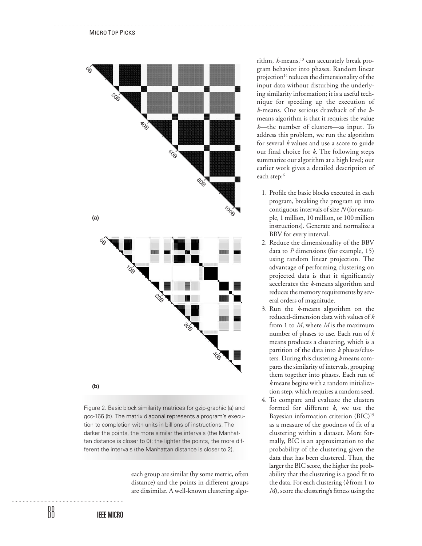

MICRO TOP PICKS

Figure 2. Basic block similarity matrices for gzip-graphic (a) and gcc-166 (b). The matrix diagonal represents a program's execution to completion with units in billions of instructions. The darker the points, the more similar the intervals (the Manhattan distance is closer to 0); the lighter the points, the more different the intervals (the Manhattan distance is closer to 2).

each group are similar (by some metric, often distance) and the points in different groups are dissimilar. A well-known clustering algo-

rithm, *k*-means,<sup>13</sup> can accurately break program behavior into phases. Random linear projection<sup>14</sup> reduces the dimensionality of the input data without disturbing the underlying similarity information; it is a useful technique for speeding up the execution of *k*-means. One serious drawback of the *k*means algorithm is that it requires the value *k*—the number of clusters—as input. To address this problem, we run the algorithm for several *k* values and use a score to guide our final choice for *k*. The following steps summarize our algorithm at a high level; our earlier work gives a detailed description of each step:<sup>6</sup>

- 1. Profile the basic blocks executed in each program, breaking the program up into contiguous intervals of size *N* (for example, 1 million, 10 million, or 100 million instructions). Generate and normalize a BBV for every interval.
- 2. Reduce the dimensionality of the BBV data to *P* dimensions (for example, 15) using random linear projection. The advantage of performing clustering on projected data is that it significantly accelerates the *k*-means algorithm and reduces the memory requirements by several orders of magnitude.
- 3. Run the *k*-means algorithm on the reduced-dimension data with values of *k* from 1 to *M*, where *M* is the maximum number of phases to use. Each run of *k* means produces a clustering, which is a partition of the data into *k* phases/clusters. During this clustering *k* means compares the similarity of intervals, grouping them together into phases. Each run of *k* means begins with a random initialization step, which requires a random seed.
- 4. To compare and evaluate the clusters formed for different *k*, we use the Bayesian information criterion (BIC)<sup>15</sup> as a measure of the goodness of fit of a clustering within a dataset. More formally, BIC is an approximation to the probability of the clustering given the data that has been clustered. Thus, the larger the BIC score, the higher the probability that the clustering is a good fit to the data. For each clustering (*k* from 1 to *M*), score the clustering's fitness using the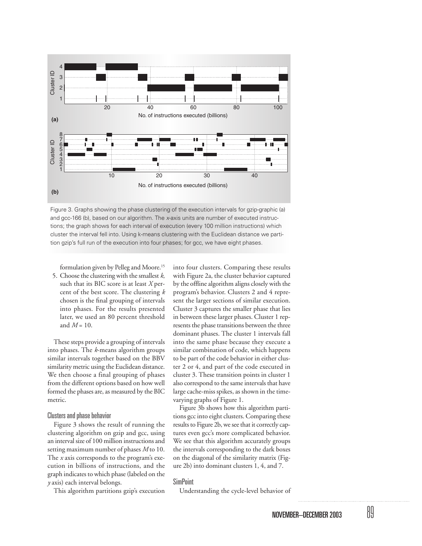

Figure 3. Graphs showing the phase clustering of the execution intervals for gzip-graphic (a) and gcc-166 (b), based on our algorithm. The *x*-axis units are number of executed instructions; the graph shows for each interval of execution (every 100 million instructions) which cluster the interval fell into. Using k-means clustering with the Euclidean distance we partition gzip's full run of the execution into four phases; for gcc, we have eight phases.

formulation given by Pelleg and Moore.<sup>15</sup>

5. Choose the clustering with the smallest *k*, such that its BIC score is at least *X* percent of the best score. The clustering *k* chosen is the final grouping of intervals into phases. For the results presented later, we used an 80 percent threshold and  $M = 10$ .

These steps provide a grouping of intervals into phases. The *k*-means algorithm groups similar intervals together based on the BBV similarity metric using the Euclidean distance. We then choose a final grouping of phases from the different options based on how well formed the phases are, as measured by the BIC metric.

#### Clusters and phase behavior

Figure 3 shows the result of running the clustering algorithm on gzip and gcc, using an interval size of 100 million instructions and setting maximum number of phases *M* to 10. The *x* axis corresponds to the program's execution in billions of instructions, and the graph indicates to which phase (labeled on the *y* axis) each interval belongs.

This algorithm partitions gzip's execution

into four clusters. Comparing these results with Figure 2a, the cluster behavior captured by the offline algorithm aligns closely with the program's behavior. Clusters 2 and 4 represent the larger sections of similar execution. Cluster 3 captures the smaller phase that lies in between these larger phases. Cluster 1 represents the phase transitions between the three dominant phases. The cluster 1 intervals fall into the same phase because they execute a similar combination of code, which happens to be part of the code behavior in either cluster 2 or 4, and part of the code executed in cluster 3. These transition points in cluster 1 also correspond to the same intervals that have large cache-miss spikes, as shown in the timevarying graphs of Figure 1.

Figure 3b shows how this algorithm partitions gcc into eight clusters. Comparing these results to Figure 2b, we see that it correctly captures even gcc's more complicated behavior. We see that this algorithm accurately groups the intervals corresponding to the dark boxes on the diagonal of the similarity matrix (Figure 2b) into dominant clusters 1, 4, and 7.

# **SimPoint**

Understanding the cycle-level behavior of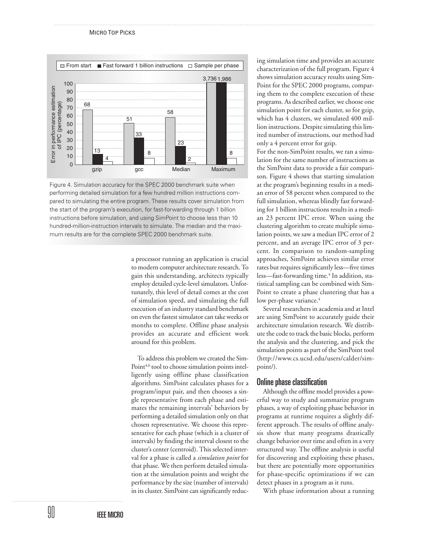#### MICRO TOP PICKS



Figure 4. Simulation accuracy for the SPEC 2000 benchmark suite when performing detailed simulation for a few hundred million instructions compared to simulating the entire program. These results cover simulation from the start of the program's execution, for fast-forwarding through 1 billion instructions before simulation, and using SimPoint to choose less than 10 hundred-million-instruction intervals to simulate. The median and the maximum results are for the complete SPEC 2000 benchmark suite.

a processor running an application is crucial to modern computer architecture research. To gain this understanding, architects typically employ detailed cycle-level simulators. Unfortunately, this level of detail comes at the cost of simulation speed, and simulating the full execution of an industry standard benchmark on even the fastest simulator can take weeks or months to complete. Offline phase analysis provides an accurate and efficient work around for this problem.

To address this problem we created the Sim-Point<sup>4,6</sup> tool to choose simulation points intelligently using offline phase classification algorithms. SimPoint calculates phases for a program/input pair, and then chooses a single representative from each phase and estimates the remaining intervals' behaviors by performing a detailed simulation only on that chosen representative. We choose this representative for each phase (which is a cluster of intervals) by finding the interval closest to the cluster's center (centroid). This selected interval for a phase is called a *simulation point* for that phase. We then perform detailed simulation at the simulation points and weight the performance by the size (number of intervals) in its cluster. SimPoint can significantly reduc-

ing simulation time and provides an accurate characterization of the full program. Figure 4 shows simulation accuracy results using Sim-Point for the SPEC 2000 programs, comparing them to the complete execution of these programs. As described earlier, we choose one simulation point for each cluster, so for gzip, which has 4 clusters, we simulated 400 million instructions. Despite simulating this limited number of instructions, our method had only a 4 percent error for gzip.

For the non-SimPoint results, we ran a simulation for the same number of instructions as the SimPoint data to provide a fair comparison. Figure 4 shows that starting simulation at the program's beginning results in a median error of 58 percent when compared to the full simulation, whereas blindly fast forwarding for 1 billion instructions results in a median 23 percent IPC error. When using the clustering algorithm to create multiple simulation points, we saw a median IPC error of 2 percent, and an average IPC error of 3 percent. In comparison to random-sampling approaches, SimPoint achieves similar error rates but requires significantly less—five times less—fast-forwarding time.4 In addition, statistical sampling can be combined with Sim-Point to create a phase clustering that has a low per-phase variance.<sup>4</sup>

Several researchers in academia and at Intel are using SimPoint to accurately guide their architecture simulation research. We distribute the code to track the basic blocks, perform the analysis and the clustering, and pick the simulation points as part of the SimPoint tool (http://www.cs.ucsd.edu/users/calder/simpoint/).

#### Online phase classification

Although the offline model provides a powerful way to study and summarize program phases, a way of exploiting phase behavior in programs at runtime requires a slightly different approach. The results of offline analysis show that many programs drastically change behavior over time and often in a very structured way. The offline analysis is useful for discovering and exploiting these phases, but there are potentially more opportunities for phase-specific optimizations if we can detect phases in a program as it runs.

With phase information about a running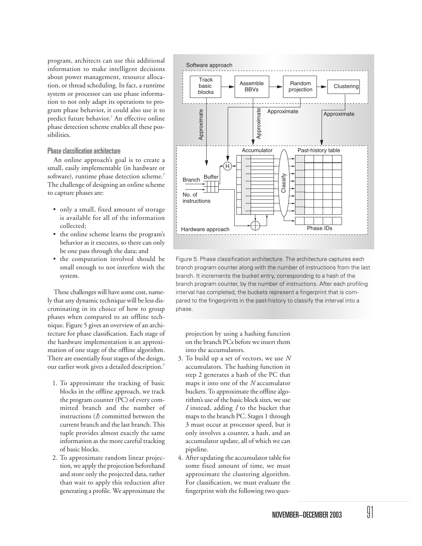program, architects can use this additional information to make intelligent decisions about power management, resource allocation, or thread scheduling. In fact, a runtime system or processor can use phase information to not only adapt its operations to program phase behavior, it could also use it to predict future behavior.7 An effective online phase detection scheme enables all these possibilities.

Phase classification architecture

An online approach's goal is to create a small, easily implementable (in hardware or software), runtime phase detection scheme.<sup>7</sup> The challenge of designing an online scheme to capture phases are:

- only a small, fixed amount of storage is available for all of the information collected;
- the online scheme learns the program's behavior as it executes, so there can only be one pass through the data; and
- the computation involved should be small enough to not interfere with the system.

These challenges will have some cost, namely that any dynamic technique will be less discriminating in its choice of how to group phases when compared to an offline technique. Figure 5 gives an overview of an architecture for phase classification. Each stage of the hardware implementation is an approximation of one stage of the offline algorithm. There are essentially four stages of the design, our earlier work gives a detailed description.7

- 1. To approximate the tracking of basic blocks in the offline approach, we track the program counter (PC) of every committed branch and the number of instructions (*I*) committed between the current branch and the last branch. This tuple provides almost exactly the same information as the more careful tracking of basic blocks.
- 2. To approximate random linear projection, we apply the projection beforehand and store only the projected data, rather than wait to apply this reduction after generating a profile. We approximate the



Figure 5. Phase classification architecture. The architecture captures each branch program counter along with the number of instructions from the last branch. It increments the bucket entry, corresponding to a hash of the branch program counter, by the number of instructions. After each profiling interval has completed, the buckets represent a fingerprint that is compared to the fingerprints in the past-history to classify the interval into a phase.

projection by using a hashing function on the branch PCs before we insert them into the accumulators.

- 3. To build up a set of vectors, we use *N* accumulators. The hashing function in step 2 generates a hash of the PC that maps it into one of the *N* accumulator buckets. To approximate the offline algorithm's use of the basic block sizes, we use *I* instead, adding *I* to the bucket that maps to the branch PC. Stages 1 through 3 must occur at processor speed, but it only involves a counter, a hash, and an accumulator update, all of which we can pipeline.
- 4. After updating the accumulator table for some fixed amount of time, we must approximate the clustering algorithm. For classification, we must evaluate the fingerprint with the following two ques-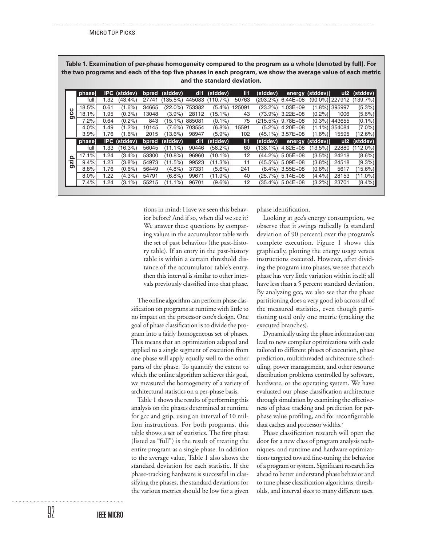|                          |       |      |                     |       |            |                |                             |                |          | the two programs and each of the top five phases in each program, we show the average value of each metric |           |                  |            |
|--------------------------|-------|------|---------------------|-------|------------|----------------|-----------------------------|----------------|----------|------------------------------------------------------------------------------------------------------------|-----------|------------------|------------|
|                          |       |      |                     |       |            |                | and the standard deviation. |                |          |                                                                                                            |           |                  |            |
|                          | phase |      | <b>IPC</b> (stddev) | bpred | (stddev)   | dl1            | (stddev)                    | $\overline{1}$ | (stddev) | energy                                                                                                     | (stddev)  | ul <sub>2</sub>  | (stddev)   |
| ပ<br>မ္ဘ                 | fulll | 1.32 | (43.4%)             | 27741 | 135.5%)    | 445083         | $110.7\%)$                  | 50763          |          | (203.2%)  6.44E+08                                                                                         |           | (90.0%)  227912  | (139.7%)   |
|                          | 18.5% | 0.61 | $(1.6\%)$           | 34665 | (22.0%)    | 753382         | (5.4%)                      | 125091         |          | (23.2%) 1.03E+09                                                                                           |           | $(1.8\%)$ 395997 | $(5.3\%)$  |
|                          | 18.1% | 1.95 | $(0.3\%)$           | 13048 | (3.9%      | 28112          | (15.1%)                     | 43             |          | (73.9%) 3.22E+08                                                                                           | $(0.2\%)$ | 1006             | $(5.6\%)$  |
|                          | 7.2%  | 0.64 | $(0.2\%)$           | 843   | (15.1%)    | 885081         | $(0.1\%)$                   | 75             |          | (215.5%)  9.78E+08                                                                                         | $(0.3\%)$ | 443655           | $(0.1\%)$  |
|                          | 4.0%  | 1.49 | $(1.2\%)$           | 10145 | $(7.6\%)$  | 703554         | (6.8%)                      | 15591          |          | (5.2%)  4.20E+08                                                                                           | $(1.1\%)$ | 354084           | $(7.0\%)$  |
|                          | 3.9%  | 1.76 | $(1.6\%)$           | 2015  | (13.6%)    | 98947          | $(5.9\%)$                   | 102            |          | (45.1%) 3.57E+08                                                                                           | $(1.6\%)$ | 15595            | (12.6%)    |
|                          | phase |      | IPC (stddev)        | bpred | (stddev)   | d <sub>1</sub> | (stddev)                    | $\overline{1}$ | (stddev) | energy                                                                                                     | (stddev)  | ul <sub>2</sub>  | (stddev)   |
|                          | full  | 1.33 | $16.3\%$            | 56045 | $(11.1\%)$ | 90446          | (58.2%)                     | 60             |          | 138.1%) 4.82E+08                                                                                           | (13.5%)   | 22880            | $112.0\%)$ |
|                          | 17.1% | 1.24 | $(3.4\%)$           | 53300 | $(10.8\%)$ | 96960          | $(10.1\%)$                  | 12             |          | (44.2%) 5.05E+08                                                                                           | (3.5%)    | 24218            | $(8.6\%)$  |
| $\frac{p}{\overline{p}}$ | 9.4%  | 1.23 | $(3.8\%)$           | 54973 | (11.5%)    | 99523          | (11.3%)                     | 11             |          | (45.5%) 5.09E+08                                                                                           | (3.8%)    | 24518            | $(9.3\%)$  |
| ත                        | 8.8%  | 1.76 | $(0.6\%)$           | 56449 | (4.8%      | 37331          | $(5.6\%)$                   | 241            |          | $(8.4\%)$ 3.55E+08                                                                                         | $(0.6\%)$ | 5617             | $(15.6\%)$ |
|                          | 8.0%  | 1.22 | (4.3%)              | 54791 | (6.8%)     | 99671          | $(11.9\%)$                  | 40             |          | (25.7%) 5.14E+08                                                                                           | (4.4%     | 28153            | (11.0%)    |
|                          | 7.4%  | 1.24 | $(3.1\%)$           | 55215 | (11.1%)    | 96701          | $(9.6\%)$                   | 12             |          | $(35.4\%)$ 5.04E+08                                                                                        | $(3.2\%)$ | 23701            | $(8.4\%)$  |

**Table 1. Examination of per-phase homogeneity compared to the program as a whole (denoted by full). For**

tions in mind: Have we seen this behavior before? And if so, when did we see it? We answer these questions by comparing values in the accumulator table with the set of past behaviors (the past-history table). If an entry in the past-history table is within a certain threshold distance of the accumulator table's entry, then this interval is similar to other intervals previously classified into that phase.

The online algorithm can perform phase classification on programs at runtime with little to no impact on the processor core's design. One goal of phase classification is to divide the program into a fairly homogeneous set of phases. This means that an optimization adapted and applied to a single segment of execution from one phase will apply equally well to the other parts of the phase. To quantify the extent to which the online algorithm achieves this goal, we measured the homogeneity of a variety of architectural statistics on a per-phase basis.

Table 1 shows the results of performing this analysis on the phases determined at runtime for gcc and gzip, using an interval of 10 million instructions. For both programs, this table shows a set of statistics. The first phase (listed as "full") is the result of treating the entire program as a single phase. In addition to the average value, Table 1 also shows the standard deviation for each statistic. If the phase-tracking hardware is successful in classifying the phases, the standard deviations for the various metrics should be low for a given

phase identification.

Looking at gcc's energy consumption, we observe that it swings radically (a standard deviation of 90 percent) over the program's complete execution. Figure 1 shows this graphically, plotting the energy usage versus instructions executed. However, after dividing the program into phases, we see that each phase has very little variation within itself; all have less than a 5 percent standard deviation. By analyzing gcc, we also see that the phase partitioning does a very good job across all of the measured statistics, even though partitioning used only one metric (tracking the executed branches).

Dynamically using the phase information can lead to new compiler optimizations with code tailored to different phases of execution, phase prediction, multithreaded architecture scheduling, power management, and other resource distribution problems controlled by software, hardware, or the operating system. We have evaluated our phase classification architecture through simulation by examining the effectiveness of phase tracking and prediction for perphase value profiling, and for reconfigurable data caches and processor widths.<sup>7</sup>

Phase classification research will open the door for a new class of program analysis techniques, and runtime and hardware optimizations targeted toward fine-tuning the behavior of a program or system. Significant research lies ahead to better understand phase behavior and to tune phase classification algorithms, thresholds, and interval sizes to many different uses.